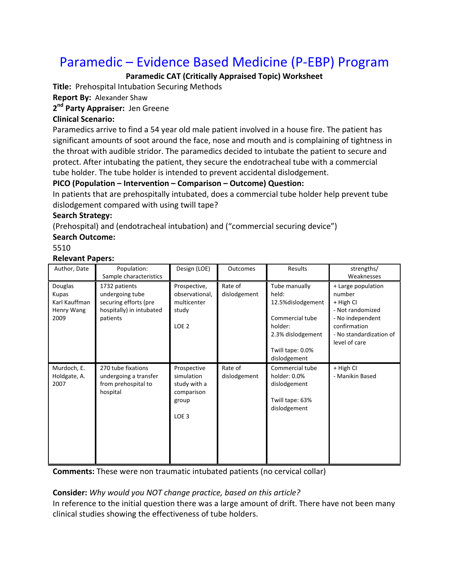# Paramedic – Evidence Based Medicine (P‐EBP) Program

# **Paramedic CAT (Critically Appraised Topic) Worksheet**

**Title:** Prehospital Intubation Securing Methods

**Report By:** Alexander Shaw

**2nd Party Appraiser:** Jen Greene

## **Clinical Scenario:**

Paramedics arrive to find a 54 year old male patient involved in a house fire. The patient has significant amounts of soot around the face, nose and mouth and is complaining of tightness in the throat with audible stridor. The paramedics decided to intubate the patient to secure and protect. After intubating the patient, they secure the endotracheal tube with a commercial tube holder. The tube holder is intended to prevent accidental dislodgement.

## **PICO (Population – Intervention – Comparison – Outcome) Question:**

In patients that are prehospitally intubated, does a commercial tube holder help prevent tube dislodgement compared with using twill tape?

### **Search Strategy:**

(Prehospital) and (endotracheal intubation) and ("commercial securing device")

# **Search Outcome:**

5510

### **Relevant Papers:**

| Author, Date                                            | Population:<br>Sample characteristics                                                             | Design (LOE)                                                                         | Outcomes                | Results                                                                                                                             | strengths/<br>Weaknesses                                                                                                                      |
|---------------------------------------------------------|---------------------------------------------------------------------------------------------------|--------------------------------------------------------------------------------------|-------------------------|-------------------------------------------------------------------------------------------------------------------------------------|-----------------------------------------------------------------------------------------------------------------------------------------------|
| Douglas<br>Kupas<br>Karl Kauffman<br>Henry Wang<br>2009 | 1732 patients<br>undergoing tube<br>securing efforts (pre<br>hospitally) in intubated<br>patients | Prospective,<br>observational,<br>multicenter<br>study<br>LOE <sub>2</sub>           | Rate of<br>dislodgement | Tube manually<br>held:<br>12.5% dislodgement<br>Commercial tube<br>holder:<br>2.3% dislodgement<br>Twill tape: 0.0%<br>dislodgement | + Large population<br>number<br>+ High CI<br>- Not randomized<br>- No independent<br>confirmation<br>- No standardization of<br>level of care |
| Murdoch, E.<br>Holdgate, A.<br>2007                     | 270 tube fixations<br>undergoing a transfer<br>from prehospital to<br>hospital                    | Prospective<br>simulation<br>study with a<br>comparison<br>group<br>LOE <sub>3</sub> | Rate of<br>dislodgement | Commercial tube<br>holder: 0.0%<br>dislodgement<br>Twill tape: 63%<br>dislodgement                                                  | + High CI<br>- Manikin Based                                                                                                                  |

**Comments:** These were non traumatic intubated patients (no cervical collar)

## **Consider:** *Why would you NOT change practice, based on this article?*

In reference to the initial question there was a large amount of drift. There have not been many clinical studies showing the effectiveness of tube holders.